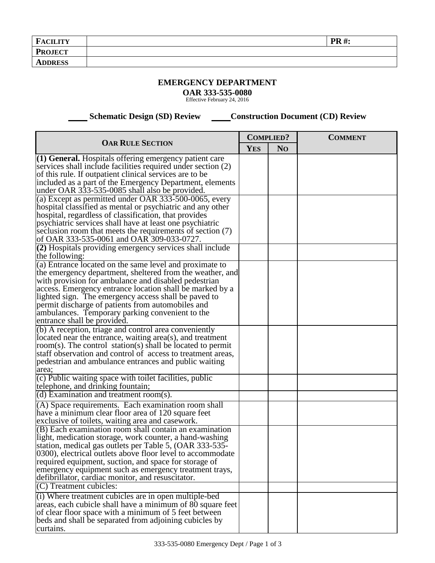| <b>PROJECT</b> | <b>FACILITY</b> | <b>PR#:</b> |
|----------------|-----------------|-------------|
|                |                 |             |
|                | <b>ADDRESS</b>  |             |

## **EMERGENCY DEPARTMENT**

**OAR 333-535-0080** Effective February 24, 2016

 **Schematic Design (SD) Review Construction Document (CD) Review** 

| <b>OAR RULE SECTION</b>                                                                                             |  | <b>COMPLIED?</b> | <b>COMMENT</b> |
|---------------------------------------------------------------------------------------------------------------------|--|------------------|----------------|
|                                                                                                                     |  | N <sub>O</sub>   |                |
| (1) General. Hospitals offering emergency patient care                                                              |  |                  |                |
| services shall include facilities required under section (2)                                                        |  |                  |                |
| of this rule. If outpatient clinical services are to be                                                             |  |                  |                |
| included as a part of the Emergency Department, elements                                                            |  |                  |                |
| under OAR 333-535-0085 shall also be provided.                                                                      |  |                  |                |
| (a) Except as permitted under OAR 333-500-0065, every                                                               |  |                  |                |
| hospital classified as mental or psychiatric and any other                                                          |  |                  |                |
| hospital, regardless of classification, that provides                                                               |  |                  |                |
| psychiatric services shall have at least one psychiatric                                                            |  |                  |                |
| seclusion room that meets the requirements of section (7)<br>of OAR 333-535-0061 and OAR 309-033-0727.              |  |                  |                |
| $\overline{2}$ ) Hospitals providing emergency services shall include                                               |  |                  |                |
| the following:                                                                                                      |  |                  |                |
| (a) Entrance located on the same level and proximate to                                                             |  |                  |                |
| the emergency department, sheltered from the weather, and                                                           |  |                  |                |
| with provision for ambulance and disabled pedestrian                                                                |  |                  |                |
| access. Emergency entrance location shall be marked by a                                                            |  |                  |                |
| lighted sign. The emergency access shall be paved to                                                                |  |                  |                |
| permit discharge of patients from automobiles and                                                                   |  |                  |                |
| ambulances. Temporary parking convenient to the                                                                     |  |                  |                |
| entrance shall be provided.                                                                                         |  |                  |                |
| (b) A reception, triage and control area conveniently                                                               |  |                  |                |
| located near the entrance, waiting area(s), and treatment                                                           |  |                  |                |
| $room(s)$ . The control station(s) shall be located to permit                                                       |  |                  |                |
| staff observation and control of access to treatment areas,                                                         |  |                  |                |
| pedestrian and ambulance entrances and public waiting                                                               |  |                  |                |
| area;                                                                                                               |  |                  |                |
| (c) Public waiting space with toilet facilities, public                                                             |  |                  |                |
| telephone, and drinking fountain;                                                                                   |  |                  |                |
| (d) Examination and treatment room(s).                                                                              |  |                  |                |
| (A) Space requirements. Each examination room shall                                                                 |  |                  |                |
| have a minimum clear floor area of 120 square feet                                                                  |  |                  |                |
| exclusive of toilets, waiting area and casework.                                                                    |  |                  |                |
| (B) Each examination room shall contain an examination                                                              |  |                  |                |
| light, medication storage, work counter, a hand-washing                                                             |  |                  |                |
| station, medical gas outlets per Table 5, (OAR 333-535-                                                             |  |                  |                |
| 0300), electrical outlets above floor level to accommodate                                                          |  |                  |                |
| required equipment, suction, and space for storage of                                                               |  |                  |                |
| emergency equipment such as emergency treatment trays,                                                              |  |                  |                |
| defibrillator, cardiac monitor, and resuscitator.<br>(C) Treatment cubicles:                                        |  |                  |                |
|                                                                                                                     |  |                  |                |
| (i) Where treatment cubicles are in open multiple-bed                                                               |  |                  |                |
| areas, each cubicle shall have a minimum of 80 square feet<br>of clear floor space with a minimum of 5 feet between |  |                  |                |
| beds and shall be separated from adjoining cubicles by                                                              |  |                  |                |
| curtains.                                                                                                           |  |                  |                |
|                                                                                                                     |  |                  |                |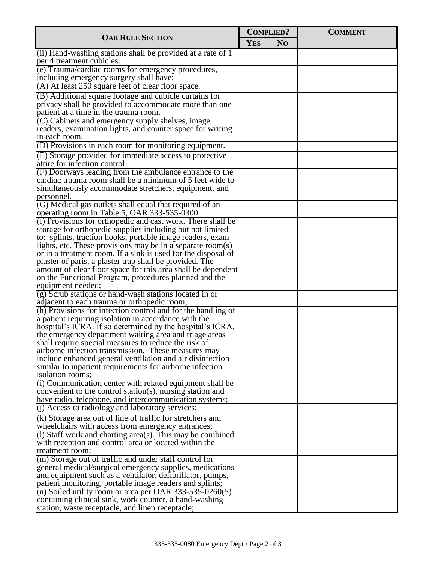| <b>OAR RULE SECTION</b>                                                                                                 |            | <b>COMPLIED?</b> | <b>COMMENT</b> |
|-------------------------------------------------------------------------------------------------------------------------|------------|------------------|----------------|
|                                                                                                                         |            | N <sub>O</sub>   |                |
| $(iii)$ Hand-washing stations shall be provided at a rate of 1<br>per 4 treatment cubicles.                             | <b>YES</b> |                  |                |
| (e) Trauma/cardiac rooms for emergency procedures,                                                                      |            |                  |                |
| including emergency surgery shall have:                                                                                 |            |                  |                |
| (A) At least 250 square feet of clear floor space.                                                                      |            |                  |                |
| (B) Additional square footage and cubicle curtains for                                                                  |            |                  |                |
| privacy shall be provided to accommodate more than one                                                                  |            |                  |                |
| patient at a time in the trauma room.                                                                                   |            |                  |                |
| (C) Cabinets and emergency supply shelves, image                                                                        |            |                  |                |
| readers, examination lights, and counter space for writing                                                              |            |                  |                |
| in each room.                                                                                                           |            |                  |                |
| $(1)$ Provisions in each room for monitoring equipment.                                                                 |            |                  |                |
| (E) Storage provided for immediate access to protective                                                                 |            |                  |                |
| attire for infection control.                                                                                           |            |                  |                |
| (F) Doorways leading from the ambulance entrance to the                                                                 |            |                  |                |
| cardiac trauma room shall be a minimum of 5 feet wide to                                                                |            |                  |                |
| simultaneously accommodate stretchers, equipment, and                                                                   |            |                  |                |
| personnel.<br>(G) Medical gas outlets shall equal that required of an                                                   |            |                  |                |
| operating room in Table 5, OAR 333-535-0300.                                                                            |            |                  |                |
| $(f)$ Provisions for orthopedic and cast work. There shall be                                                           |            |                  |                |
| storage for orthopedic supplies including but not limited                                                               |            |                  |                |
| to: splints, traction hooks, portable image readers, exam                                                               |            |                  |                |
| lights, etc. These provisions may be in a separate room(s)                                                              |            |                  |                |
| or in a treatment room. If a sink is used for the disposal of                                                           |            |                  |                |
| plaster of paris, a plaster trap shall be provided. The                                                                 |            |                  |                |
| amount of clear floor space for this area shall be dependent                                                            |            |                  |                |
| on the Functional Program, procedures planned and the                                                                   |            |                  |                |
| equipment needed;                                                                                                       |            |                  |                |
| $(g)$ Scrub stations or hand-wash stations located in or                                                                |            |                  |                |
| adjacent to each trauma or orthopedic room;<br>(h) Provisions for infection control and for the handling of             |            |                  |                |
| a patient requiring isolation in accordance with the                                                                    |            |                  |                |
| hospital's ICRA. If so determined by the hospital's ICRA,                                                               |            |                  |                |
| the emergency department waiting area and triage areas                                                                  |            |                  |                |
| shall require special measures to reduce the risk of                                                                    |            |                  |                |
| airborne infection transmission. These measures may                                                                     |            |                  |                |
| include enhanced general ventilation and air disinfection                                                               |            |                  |                |
| similar to inpatient requirements for airborne infection                                                                |            |                  |                |
| isolation rooms;                                                                                                        |            |                  |                |
| $(i)$ Communication center with related equipment shall be<br>convenient to the control station(s), nursing station and |            |                  |                |
| have radio, telephone, and intercommunication systems;                                                                  |            |                  |                |
| $(i)$ Access to radiology and laboratory services;                                                                      |            |                  |                |
| (k) Storage area out of line of traffic for stretchers and                                                              |            |                  |                |
| wheelchairs with access from emergency entrances;                                                                       |            |                  |                |
| (1) Staff work and charting area(s). This may be combined                                                               |            |                  |                |
| with reception and control area or located within the                                                                   |            |                  |                |
| treatment room;                                                                                                         |            |                  |                |
| (m) Storage out of traffic and under staff control for                                                                  |            |                  |                |
| general medical/surgical emergency supplies, medications                                                                |            |                  |                |
| and equipment such as a ventilator, defibrillator, pumps,                                                               |            |                  |                |
| patient monitoring, portable image readers and splints;                                                                 |            |                  |                |
| (n) Soiled utility room or area per OAR $333-535-0260(5)$                                                               |            |                  |                |
| containing clinical sink, work counter, a hand-washing                                                                  |            |                  |                |
| station, waste receptacle, and linen receptacle;                                                                        |            |                  |                |